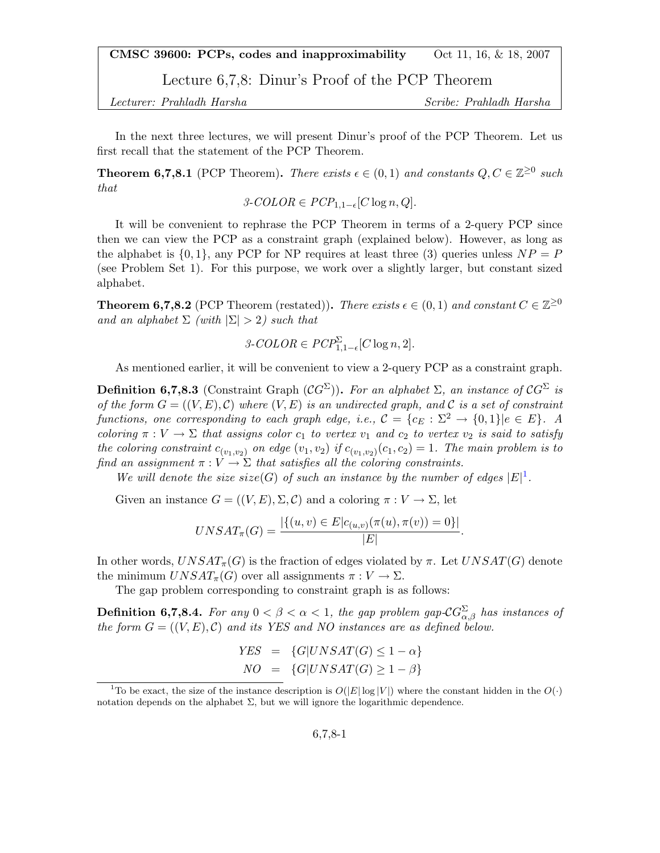CMSC 39600: PCPs, codes and inapproximability  $\qquad \text{Oct } 11, 16, \& 18, 2007$ 

Lecture 6,7,8: Dinur's Proof of the PCP Theorem

Lecturer: Prahladh Harsha Scribe: Prahladh Harsha

In the next three lectures, we will present Dinur's proof of the PCP Theorem. Let us first recall that the statement of the PCP Theorem.

**Theorem 6,7,8.1** (PCP Theorem). There exists  $\epsilon \in (0,1)$  and constants  $Q, C \in \mathbb{Z}^{\geq 0}$  such that

$$
\mathcal{3}\text{-}COLOR \in PCP_{1,1-\epsilon}[C \log n, Q].
$$

It will be convenient to rephrase the PCP Theorem in terms of a 2-query PCP since then we can view the PCP as a constraint graph (explained below). However, as long as the alphabet is  $\{0, 1\}$ , any PCP for NP requires at least three (3) queries unless  $NP = P$ (see Problem Set 1). For this purpose, we work over a slightly larger, but constant sized alphabet.

**Theorem 6,7,8.2** (PCP Theorem (restated)). There exists  $\epsilon \in (0,1)$  and constant  $C \in \mathbb{Z}^{\geq 0}$ and an alphabet  $\Sigma$  (with  $|\Sigma| > 2$ ) such that

$$
\mathcal{3}\text{-}COLOR \in PCP^{\Sigma}_{1,1-\epsilon}[C \log n, 2].
$$

As mentioned earlier, it will be convenient to view a 2-query PCP as a constraint graph.

**Definition 6,7,8.3** (Constraint Graph  $(CG^{\Sigma})$ ). For an alphabet  $\Sigma$ , an instance of  $CG^{\Sigma}$  is of the form  $G = ((V, E), C)$  where  $(V, E)$  is an undirected graph, and C is a set of constraint functions, one corresponding to each graph edge, i.e.,  $\mathcal{C} = \{c_E : \Sigma^2 \to \{0,1\} | e \in E\}$ . A coloring  $\pi : V \to \Sigma$  that assigns color  $c_1$  to vertex  $v_1$  and  $c_2$  to vertex  $v_2$  is said to satisfy the coloring constraint  $c_{(v_1,v_2)}$  on edge  $(v_1,v_2)$  if  $c_{(v_1,v_2)}(c_1,c_2) = 1$ . The main problem is to find an assignment  $\pi : V \to \Sigma$  that satisfies all the coloring constraints.

We will denote the size size(G) of such an instance by the number of edges  $|E|^1$  $|E|^1$ .

Given an instance  $G = ((V, E), \Sigma, \mathcal{C})$  and a coloring  $\pi : V \to \Sigma$ , let

$$
UNSAT_{\pi}(G) = \frac{|\{(u, v) \in E | c_{(u,v)}(\pi(u), \pi(v)) = 0\}|}{|E|}.
$$

In other words,  $UNSAT_{\pi}(G)$  is the fraction of edges violated by  $\pi$ . Let  $UNSAT(G)$  denote the minimum  $UNSAT_{\pi}(G)$  over all assignments  $\pi: V \to \Sigma$ .

The gap problem corresponding to constraint graph is as follows:

**Definition 6,7,8.4.** For any  $0 < \beta < \alpha < 1$ , the gap problem gap- $\mathcal{C}G_{\alpha,\beta}^{\Sigma}$  has instances of the form  $G = ((V, E), C)$  and its YES and NO instances are as defined below.

$$
YES = \{G|UNSAT(G) \le 1 - \alpha\}
$$
  

$$
NO = \{G|UNSAT(G) \ge 1 - \beta\}
$$

<span id="page-0-0"></span><sup>&</sup>lt;sup>1</sup>To be exact, the size of the instance description is  $O(|E| \log |V|)$  where the constant hidden in the  $O(·)$ notation depends on the alphabet  $\Sigma$ , but we will ignore the logarithmic dependence.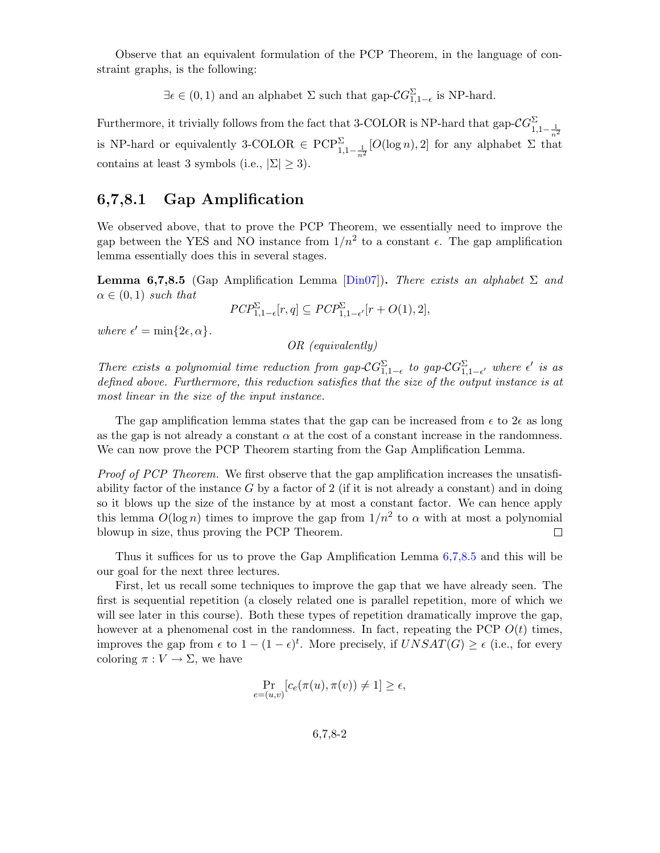Observe that an equivalent formulation of the PCP Theorem, in the language of constraint graphs, is the following:

 $\exists \epsilon \in (0,1)$  and an alphabet  $\Sigma$  such that gap- $\mathcal{C}G_{1,1-\epsilon}^{\Sigma}$  is NP-hard.

Furthermore, it trivially follows from the fact that 3-COLOR is NP-hard that gap- $\mathcal{C}G^{\Sigma}_{1,1-\frac{1}{n^2}}$ is NP-hard or equivalently 3-COLOR  $\in \text{PCP}^{\Sigma}_{1,1-\frac{1}{n^2}}[O(\log n),2]$  for any alphabet  $\Sigma$  that contains at least 3 symbols (i.e.,  $|\Sigma| \geq 3$ ).

## 6,7,8.1 Gap Amplification

We observed above, that to prove the PCP Theorem, we essentially need to improve the gap between the YES and NO instance from  $1/n^2$  to a constant  $\epsilon$ . The gap amplification lemma essentially does this in several stages.

<span id="page-1-0"></span>**Lemma 6,7,8.5** (Gap Amplification Lemma [\[Din07\]](#page-17-0)). There exists an alphabet  $\Sigma$  and  $\alpha \in (0,1)$  such that

$$
PCP_{1,1-\epsilon}^{\Sigma}[r,q] \subseteq PCP_{1,1-\epsilon'}^{\Sigma}[r+O(1),2],
$$

where  $\epsilon' = \min\{2\epsilon, \alpha\}.$ 

OR (equivalently)

There exists a polynomial time reduction from gap- $\mathcal{C}G_{1,1-\epsilon}^{\Sigma}$  to gap- $\mathcal{C}G_{1,1-\epsilon'}^{\Sigma}$  where  $\epsilon'$  is as defined above. Furthermore, this reduction satisfies that the size of the output instance is at most linear in the size of the input instance.

The gap amplification lemma states that the gap can be increased from  $\epsilon$  to  $2\epsilon$  as long as the gap is not already a constant  $\alpha$  at the cost of a constant increase in the randomness. We can now prove the PCP Theorem starting from the Gap Amplification Lemma.

Proof of PCP Theorem. We first observe that the gap amplification increases the unsatisfiability factor of the instance  $G$  by a factor of 2 (if it is not already a constant) and in doing so it blows up the size of the instance by at most a constant factor. We can hence apply this lemma  $O(\log n)$  times to improve the gap from  $1/n^2$  to  $\alpha$  with at most a polynomial blowup in size, thus proving the PCP Theorem.  $\Box$ 

Thus it suffices for us to prove the Gap Amplification Lemma [6,7,8.5](#page-1-0) and this will be our goal for the next three lectures.

First, let us recall some techniques to improve the gap that we have already seen. The first is sequential repetition (a closely related one is parallel repetition, more of which we will see later in this course). Both these types of repetition dramatically improve the gap, however at a phenomenal cost in the randomness. In fact, repeating the PCP  $O(t)$  times, improves the gap from  $\epsilon$  to  $1 - (1 - \epsilon)^t$ . More precisely, if  $UNSAT(G) \geq \epsilon$  (i.e., for every coloring  $\pi: V \to \Sigma$ , we have

$$
\Pr_{e=(u,v)}[c_e(\pi(u),\pi(v))\neq 1]\geq \epsilon,
$$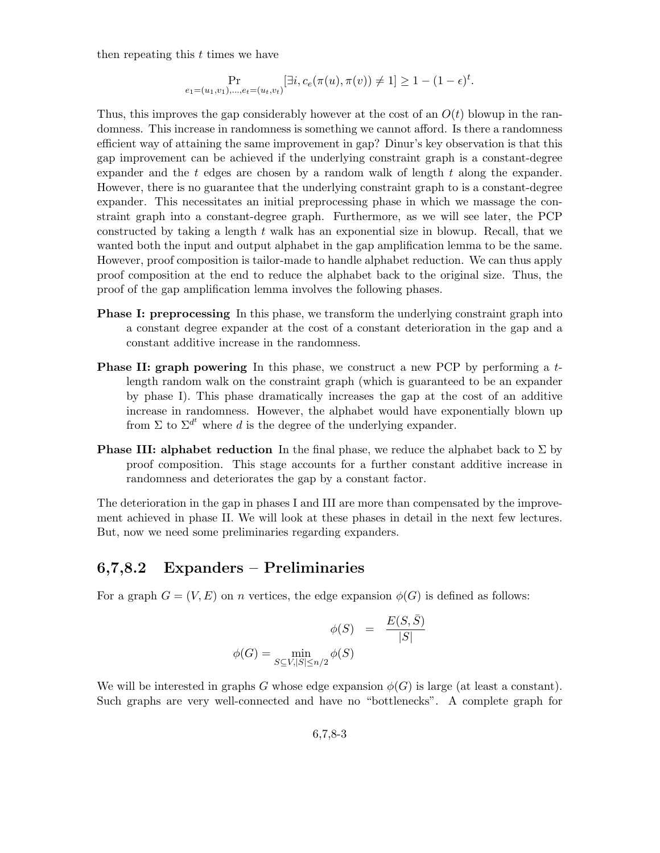then repeating this  $t$  times we have

$$
\Pr_{e_1=(u_1,v_1),...,e_t=(u_t,v_t)}[\exists i, c_e(\pi(u),\pi(v)) \neq 1] \geq 1 - (1-\epsilon)^t.
$$

Thus, this improves the gap considerably however at the cost of an  $O(t)$  blowup in the randomness. This increase in randomness is something we cannot afford. Is there a randomness efficient way of attaining the same improvement in gap? Dinur's key observation is that this gap improvement can be achieved if the underlying constraint graph is a constant-degree expander and the  $t$  edges are chosen by a random walk of length  $t$  along the expander. However, there is no guarantee that the underlying constraint graph to is a constant-degree expander. This necessitates an initial preprocessing phase in which we massage the constraint graph into a constant-degree graph. Furthermore, as we will see later, the PCP constructed by taking a length  $t$  walk has an exponential size in blowup. Recall, that we wanted both the input and output alphabet in the gap amplification lemma to be the same. However, proof composition is tailor-made to handle alphabet reduction. We can thus apply proof composition at the end to reduce the alphabet back to the original size. Thus, the proof of the gap amplification lemma involves the following phases.

- **Phase I: preprocessing** In this phase, we transform the underlying constraint graph into a constant degree expander at the cost of a constant deterioration in the gap and a constant additive increase in the randomness.
- **Phase II: graph powering** In this phase, we construct a new PCP by performing a tlength random walk on the constraint graph (which is guaranteed to be an expander by phase I). This phase dramatically increases the gap at the cost of an additive increase in randomness. However, the alphabet would have exponentially blown up from  $\Sigma$  to  $\Sigma^{d^t}$  where d is the degree of the underlying expander.
- **Phase III: alphabet reduction** In the final phase, we reduce the alphabet back to  $\Sigma$  by proof composition. This stage accounts for a further constant additive increase in randomness and deteriorates the gap by a constant factor.

The deterioration in the gap in phases I and III are more than compensated by the improvement achieved in phase II. We will look at these phases in detail in the next few lectures. But, now we need some preliminaries regarding expanders.

# 6,7,8.2 Expanders – Preliminaries

For a graph  $G = (V, E)$  on n vertices, the edge expansion  $\phi(G)$  is defined as follows:

$$
\phi(S) = \frac{E(S, \bar{S})}{|S|}
$$

$$
\phi(G) = \min_{S \subseteq V, |S| \le n/2} \phi(S)
$$

We will be interested in graphs G whose edge expansion  $\phi(G)$  is large (at least a constant). Such graphs are very well-connected and have no "bottlenecks". A complete graph for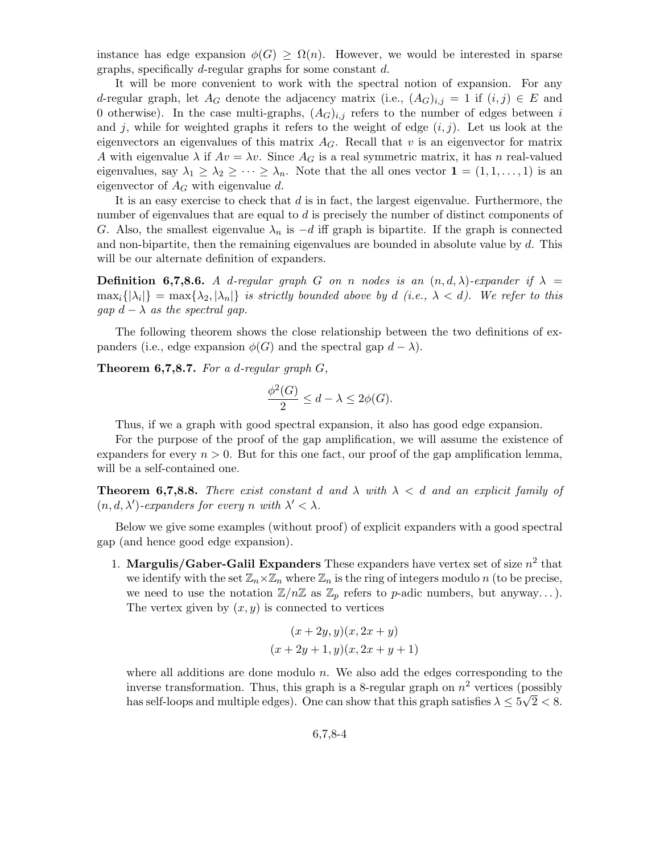instance has edge expansion  $\phi(G) > \Omega(n)$ . However, we would be interested in sparse graphs, specifically d-regular graphs for some constant d.

It will be more convenient to work with the spectral notion of expansion. For any d-regular graph, let  $A_G$  denote the adjacency matrix (i.e.,  $(A_G)_{i,j} = 1$  if  $(i,j) \in E$  and 0 otherwise). In the case multi-graphs,  $(A_G)_{i,j}$  refers to the number of edges between i and j, while for weighted graphs it refers to the weight of edge  $(i, j)$ . Let us look at the eigenvectors an eigenvalues of this matrix  $A_G$ . Recall that v is an eigenvector for matrix A with eigenvalue  $\lambda$  if  $Av = \lambda v$ . Since  $A_G$  is a real symmetric matrix, it has n real-valued eigenvalues, say  $\lambda_1 \geq \lambda_2 \geq \cdots \geq \lambda_n$ . Note that the all ones vector  $\mathbf{1} = (1, 1, \ldots, 1)$  is an eigenvector of  $A_G$  with eigenvalue d.

It is an easy exercise to check that  $d$  is in fact, the largest eigenvalue. Furthermore, the number of eigenvalues that are equal to d is precisely the number of distinct components of G. Also, the smallest eigenvalue  $\lambda_n$  is  $-d$  iff graph is bipartite. If the graph is connected and non-bipartite, then the remaining eigenvalues are bounded in absolute value by  $d$ . This will be our alternate definition of expanders.

**Definition 6,7,8.6.** A d-regular graph G on n nodes is an  $(n, d, \lambda)$ -expander if  $\lambda =$  $\max_i\{|\lambda_i|\} = \max\{\lambda_2, |\lambda_n|\}$  is strictly bounded above by d (i.e.,  $\lambda < d$ ). We refer to this qap  $d - \lambda$  as the spectral gap.

The following theorem shows the close relationship between the two definitions of expanders (i.e., edge expansion  $\phi(G)$  and the spectral gap  $d - \lambda$ ).

<span id="page-3-0"></span>**Theorem 6,7,8.7.** For a d-regular graph  $G$ ,

$$
\frac{\phi^2(G)}{2} \le d - \lambda \le 2\phi(G).
$$

Thus, if we a graph with good spectral expansion, it also has good edge expansion.

For the purpose of the proof of the gap amplification, we will assume the existence of expanders for every  $n > 0$ . But for this one fact, our proof of the gap amplification lemma, will be a self-contained one.

**Theorem 6,7,8.8.** There exist constant d and  $\lambda$  with  $\lambda < d$  and an explicit family of  $(n, d, \lambda')$ -expanders for every n with  $\lambda' < \lambda$ .

Below we give some examples (without proof) of explicit expanders with a good spectral gap (and hence good edge expansion).

1. Margulis/Gaber-Galil Expanders These expanders have vertex set of size  $n^2$  that we identify with the set  $\mathbb{Z}_n\times\mathbb{Z}_n$  where  $\mathbb{Z}_n$  is the ring of integers modulo n (to be precise, we need to use the notation  $\mathbb{Z}/n\mathbb{Z}$  as  $\mathbb{Z}_p$  refers to p-adic numbers, but anyway...). The vertex given by  $(x, y)$  is connected to vertices

$$
(x+2y, y)(x, 2x + y)
$$

$$
(x+2y+1, y)(x, 2x + y + 1)
$$

where all additions are done modulo  $n$ . We also add the edges corresponding to the inverse transformation. Thus, this graph is a 8-regular graph on  $n^2$  vertices (possibly has self-loops and multiple edges). One can show that this graph satisfies  $\lambda \leq 5\sqrt{2} < 8$ .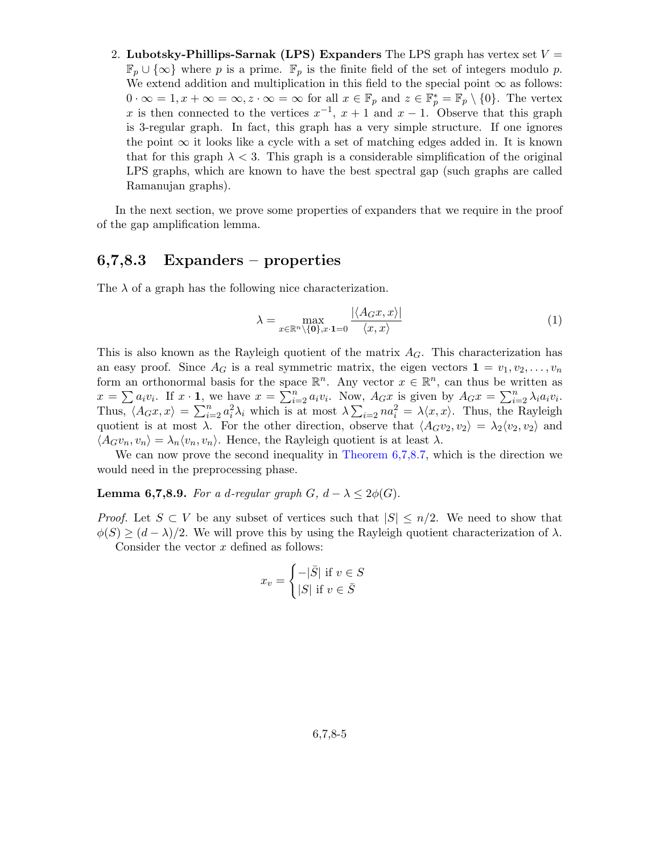2. Lubotsky-Phillips-Sarnak (LPS) Expanders The LPS graph has vertex set  $V =$  $\mathbb{F}_p \cup \{\infty\}$  where p is a prime.  $\mathbb{F}_p$  is the finite field of the set of integers modulo p. We extend addition and multiplication in this field to the special point  $\infty$  as follows:  $0 \cdot \infty = 1, x + \infty = \infty, z \cdot \infty = \infty$  for all  $x \in \mathbb{F}_p$  and  $z \in \mathbb{F}_p^* = \mathbb{F}_p \setminus \{0\}$ . The vertex x is then connected to the vertices  $x^{-1}$ ,  $x + 1$  and  $x - 1$ . Observe that this graph is 3-regular graph. In fact, this graph has a very simple structure. If one ignores the point  $\infty$  it looks like a cycle with a set of matching edges added in. It is known that for this graph  $\lambda < 3$ . This graph is a considerable simplification of the original LPS graphs, which are known to have the best spectral gap (such graphs are called Ramanujan graphs).

In the next section, we prove some properties of expanders that we require in the proof of the gap amplification lemma.

# 6,7,8.3 Expanders – properties

The  $\lambda$  of a graph has the following nice characterization.

$$
\lambda = \max_{x \in \mathbb{R}^n \setminus \{\mathbf{0}\}, x \cdot \mathbf{1} = 0} \frac{|\langle A_G x, x \rangle|}{\langle x, x \rangle} \tag{1}
$$

This is also known as the Rayleigh quotient of the matrix  $A_G$ . This characterization has an easy proof. Since  $A_G$  is a real symmetric matrix, the eigen vectors  $\mathbf{1} = v_1, v_2, \ldots, v_n$ form an orthonormal basis for the space  $\mathbb{R}^n$ . Any vector  $x \in \mathbb{R}^n$ , can thus be written as  $x = \sum a_i v_i$ . If  $x \cdot \mathbf{1}$ , we have  $x = \sum_{i=2}^n a_i v_i$ . Now,  $A_G x$  is given by  $A_G x = \sum_{i=2}^n \lambda_i a_i v_i$ . Thus,  $\langle A_G x, x \rangle = \sum_{i=2}^n a_i^2 \lambda_i$  which is at most  $\lambda \sum_{i=2}^n n a_i^2 = \lambda \langle x, x \rangle$ . Thus, the Rayleigh quotient is at most  $\lambda$ . For the other direction, observe that  $\langle A_Gv_2, v_2 \rangle = \lambda_2\langle v_2, v_2 \rangle$  and  $\langle A_G v_n, v_n \rangle = \lambda_n \langle v_n, v_n \rangle$ . Hence, the Rayleigh quotient is at least  $\lambda$ .

We can now prove the second inequality in [Theorem 6,7,8.7,](#page-3-0) which is the direction we would need in the preprocessing phase.

**Lemma 6,7,8.9.** For a d-regular graph  $G$ ,  $d - \lambda \leq 2\phi(G)$ .

*Proof.* Let  $S \subset V$  be any subset of vertices such that  $|S| \leq n/2$ . We need to show that  $\phi(S) \geq (d - \lambda)/2$ . We will prove this by using the Rayleigh quotient characterization of  $\lambda$ . Consider the vector  $x$  defined as follows:

$$
x_v = \begin{cases} -|\bar{S}| \text{ if } v \in S \\ |S| \text{ if } v \in \bar{S} \end{cases}
$$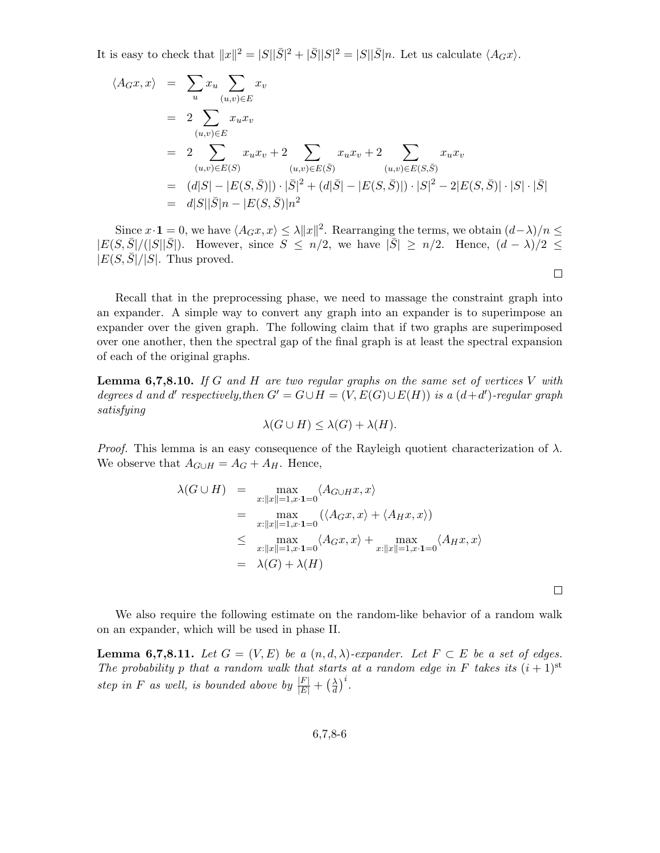It is easy to check that  $||x||^2 = |S||\overline{S}|^2 + |\overline{S}||S|^2 = |S||\overline{S}|n$ . Let us calculate  $\langle A_G x \rangle$ .

$$
\langle A_G x, x \rangle = \sum_{u} x_u \sum_{(u,v) \in E} x_v
$$
  
=  $2 \sum_{(u,v) \in E} x_u x_v$   
=  $2 \sum_{(u,v) \in E(S)} x_u x_v + 2 \sum_{(u,v) \in E(\bar{S})} x_u x_v + 2 \sum_{(u,v) \in E(\bar{S}, \bar{S})} x_u x_v$   
=  $(d|S| - |E(S, \bar{S})|) \cdot |\bar{S}|^2 + (d|\bar{S}| - |E(S, \bar{S})|) \cdot |S|^2 - 2|E(S, \bar{S})| \cdot |S| \cdot |\bar{S}|$   
=  $d|S||\bar{S}|n - |E(S, \bar{S})|n^2$ 

Since  $x \cdot \mathbf{1} = 0$ , we have  $\langle A_G x, x \rangle \leq \lambda ||x||^2$ . Rearranging the terms, we obtain  $(d - \lambda)/n \leq$  $|E(S,\bar{S}|/(|S||\bar{S}|)).$  However, since  $S \leq n/2$ , we have  $|\bar{S}| \geq n/2$ . Hence,  $(d - \lambda)/2 \leq$  $|E(S, S|/|S|$ . Thus proved.  $\Box$ 

Recall that in the preprocessing phase, we need to massage the constraint graph into an expander. A simple way to convert any graph into an expander is to superimpose an expander over the given graph. The following claim that if two graphs are superimposed over one another, then the spectral gap of the final graph is at least the spectral expansion of each of the original graphs.

<span id="page-5-0"></span>**Lemma 6,7,8.10.** If G and H are two regular graphs on the same set of vertices V with degrees d and d' respectively, then  $G' = G \cup H = (V, E(G) \cup E(H))$  is a  $(d+d')$ -regular graph satisfying

$$
\lambda(G \cup H) \le \lambda(G) + \lambda(H).
$$

*Proof.* This lemma is an easy consequence of the Rayleigh quotient characterization of  $\lambda$ . We observe that  $A_{G\cup H} = A_G + A_H$ . Hence,

$$
\lambda(G \cup H) = \max_{x:||x||=1, x \cdot 1=0} \langle A_{G \cup H} x, x \rangle
$$
  
\n
$$
= \max_{x:||x||=1, x \cdot 1=0} (\langle A_G x, x \rangle + \langle A_H x, x \rangle)
$$
  
\n
$$
\leq \max_{x:||x||=1, x \cdot 1=0} \langle A_G x, x \rangle + \max_{x:||x||=1, x \cdot 1=0} \langle A_H x, x \rangle
$$
  
\n
$$
= \lambda(G) + \lambda(H)
$$

 $\Box$ 

We also require the following estimate on the random-like behavior of a random walk on an expander, which will be used in phase II.

<span id="page-5-1"></span>**Lemma 6,7,8.11.** Let  $G = (V, E)$  be a  $(n, d, \lambda)$ -expander. Let  $F \subset E$  be a set of edges. The probability p that a random walk that starts at a random edge in F takes its  $(i + 1)$ <sup>st</sup> step in F as well, is bounded above by  $\frac{|F|}{|E|} + \left(\frac{\lambda}{d}\right)$  $\frac{\lambda}{d}\Big)^i$ .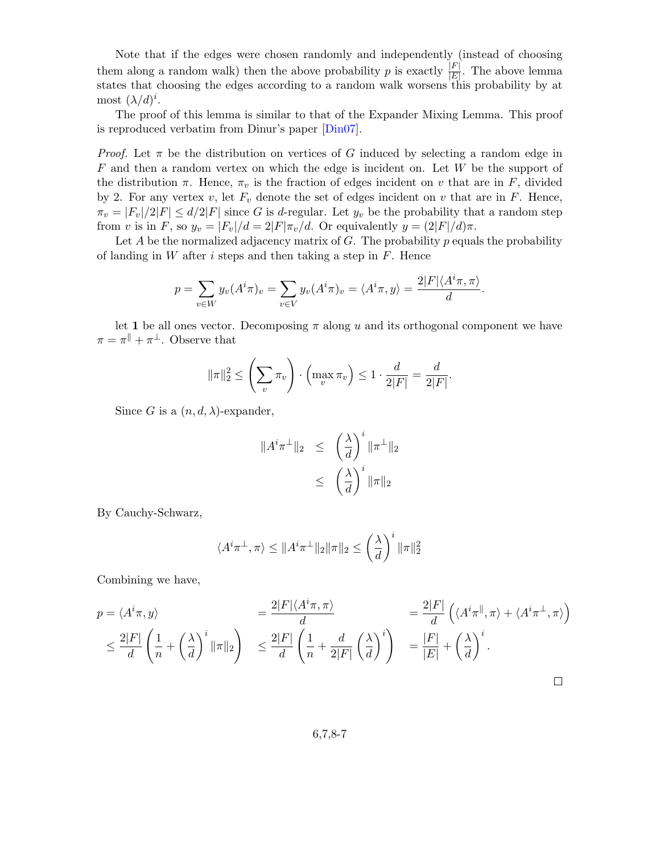Note that if the edges were chosen randomly and independently (instead of choosing them along a random walk) then the above probability p is exactly  $\frac{|F|}{|E|}$ . The above lemma states that choosing the edges according to a random walk worsens this probability by at most  $(\lambda/d)^i$ .

The proof of this lemma is similar to that of the Expander Mixing Lemma. This proof is reproduced verbatim from Dinur's paper [\[Din07\]](#page-17-0).

*Proof.* Let  $\pi$  be the distribution on vertices of G induced by selecting a random edge in  $F$  and then a random vertex on which the edge is incident on. Let  $W$  be the support of the distribution  $\pi$ . Hence,  $\pi_v$  is the fraction of edges incident on v that are in F, divided by 2. For any vertex v, let  $F_v$  denote the set of edges incident on v that are in F. Hence,  $\pi_v = |F_v|/2|F| \le d/2|F|$  since G is d-regular. Let  $y_v$  be the probability that a random step from v is in F, so  $y_v = |F_v|/d = 2|F|\pi_v/d$ . Or equivalently  $y = (2|F|/d)\pi$ .

Let  $A$  be the normalized adjacency matrix of  $G$ . The probability  $p$  equals the probability of landing in W after i steps and then taking a step in  $F$ . Hence

$$
p = \sum_{v \in W} y_v(A^i \pi)_v = \sum_{v \in V} y_v(A^i \pi)_v = \langle A^i \pi, y \rangle = \frac{2|F|\langle A^i \pi, \pi \rangle}{d}.
$$

let 1 be all ones vector. Decomposing  $\pi$  along u and its orthogonal component we have  $\pi = \pi^{\parallel} + \pi^{\perp}$ . Observe that

$$
\|\pi\|_2^2 \le \left(\sum_v \pi_v\right) \cdot \left(\max_v \pi_v\right) \le 1 \cdot \frac{d}{2|F|} = \frac{d}{2|F|}.
$$

Since G is a  $(n, d, \lambda)$ -expander,

$$
||A^{i}\pi^{\perp}||_{2} \leq \left(\frac{\lambda}{d}\right)^{i} ||\pi^{\perp}||_{2}
$$

$$
\leq \left(\frac{\lambda}{d}\right)^{i} ||\pi||_{2}
$$

By Cauchy-Schwarz,

$$
\langle A^i \pi^\perp, \pi \rangle \le ||A^i \pi^\perp||_2 \|\pi\|_2 \le \left(\frac{\lambda}{d}\right)^i \|\pi\|_2^2
$$

Combining we have,

$$
p = \langle A^{i}\pi, y \rangle
$$
  
\n
$$
\leq \frac{2|F|}{d} \left(\frac{1}{n} + \left(\frac{\lambda}{d}\right)^{i} \|\pi\|_{2}\right)
$$
  
\n
$$
\leq \frac{2|F|}{d} \left(\frac{1}{n} + \left(\frac{\lambda}{d}\right)^{i} \|\pi\|_{2}\right)
$$
  
\n
$$
\leq \frac{2|F|}{d} \left(\frac{1}{n} + \frac{d}{2|F|} \left(\frac{\lambda}{d}\right)^{i}\right)
$$
  
\n
$$
= \frac{|F|}{|E|} + \left(\frac{\lambda}{d}\right)^{i}.
$$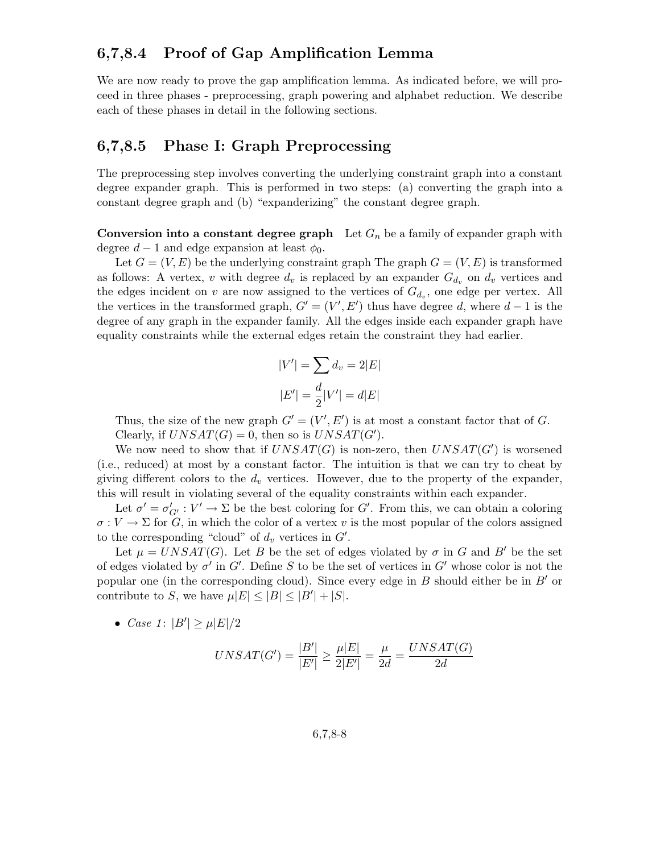# 6,7,8.4 Proof of Gap Amplification Lemma

We are now ready to prove the gap amplification lemma. As indicated before, we will proceed in three phases - preprocessing, graph powering and alphabet reduction. We describe each of these phases in detail in the following sections.

### 6,7,8.5 Phase I: Graph Preprocessing

The preprocessing step involves converting the underlying constraint graph into a constant degree expander graph. This is performed in two steps: (a) converting the graph into a constant degree graph and (b) "expanderizing" the constant degree graph.

**Conversion into a constant degree graph** Let  $G_n$  be a family of expander graph with degree  $d-1$  and edge expansion at least  $\phi_0$ .

Let  $G = (V, E)$  be the underlying constraint graph The graph  $G = (V, E)$  is transformed as follows: A vertex, v with degree  $d_v$  is replaced by an expander  $G_{d_v}$  on  $d_v$  vertices and the edges incident on v are now assigned to the vertices of  $G_{d_v}$ , one edge per vertex. All the vertices in the transformed graph,  $G' = (V', E')$  thus have degree d, where  $d-1$  is the degree of any graph in the expander family. All the edges inside each expander graph have equality constraints while the external edges retain the constraint they had earlier.

$$
|V'| = \sum d_v = 2|E|
$$

$$
|E'| = \frac{d}{2}|V'| = d|E|
$$

Thus, the size of the new graph  $G' = (V', E')$  is at most a constant factor that of G. Clearly, if  $UNSAT(G) = 0$ , then so is  $UNSAT(G')$ .

We now need to show that if  $UNSAT(G)$  is non-zero, then  $UNSAT(G')$  is worsened (i.e., reduced) at most by a constant factor. The intuition is that we can try to cheat by giving different colors to the  $d_v$  vertices. However, due to the property of the expander, this will result in violating several of the equality constraints within each expander.

Let  $\sigma' = \sigma'_{G'} : V' \to \Sigma$  be the best coloring for G'. From this, we can obtain a coloring  $\sigma: V \to \Sigma$  for G, in which the color of a vertex v is the most popular of the colors assigned to the corresponding "cloud" of  $d_v$  vertices in  $G'$ .

Let  $\mu = UNSAT(G)$ . Let B be the set of edges violated by  $\sigma$  in G and B' be the set of edges violated by  $\sigma'$  in  $G'$ . Define S to be the set of vertices in  $G'$  whose color is not the popular one (in the corresponding cloud). Since every edge in  $B$  should either be in  $B'$  or contribute to S, we have  $\mu |E| \leq |B| \leq |B'| + |S|$ .

• *Case 1*:  $|B'| \ge \mu |E|/2$ 

$$
UNSAT(G') = \frac{|B'|}{|E'|} \ge \frac{\mu|E|}{2|E'|} = \frac{\mu}{2d} = \frac{UNSAT(G)}{2d}
$$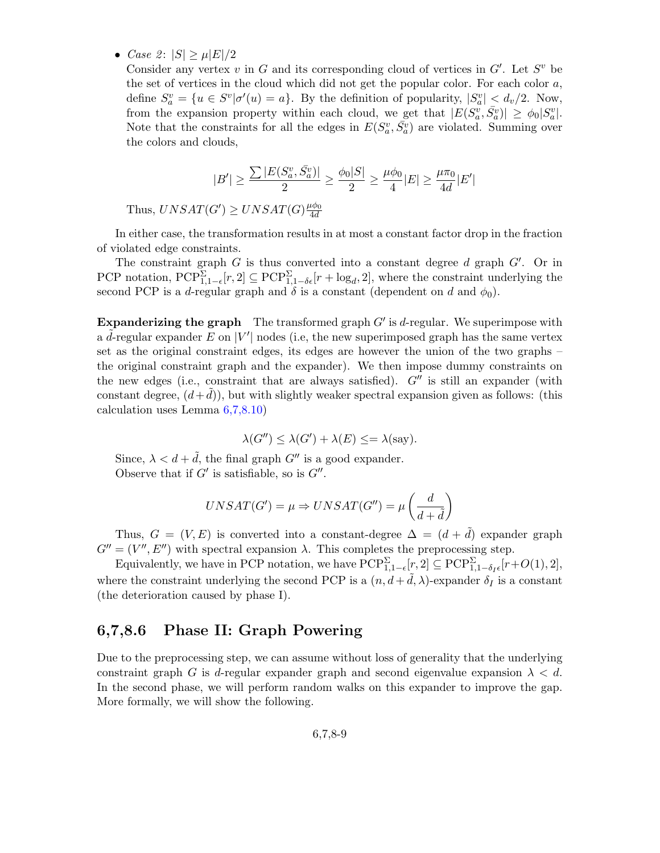• Case 2:  $|S| > \mu |E|/2$ 

Consider any vertex v in G and its corresponding cloud of vertices in  $G'$ . Let  $S^v$  be the set of vertices in the cloud which did not get the popular color. For each color  $a$ , define  $S_a^v = \{u \in S^v | \sigma'(u) = a\}$ . By the definition of popularity,  $|S_a^v| < d_v/2$ . Now, from the expansion property within each cloud, we get that  $|E(S_a^v, \bar{S}_a^v)| \geq \phi_0 |S_a^v|$ . Note that the constraints for all the edges in  $E(S_a^v, \bar{S_a^v})$  are violated. Summing over the colors and clouds,

$$
|B'| \geq \frac{\sum |E(S_a^v, \bar{S}_a^v)|}{2} \geq \frac{\phi_0 |S|}{2} \geq \frac{\mu \phi_0}{4} |E| \geq \frac{\mu \pi_0}{4d} |E'|
$$

Thus,  $UNSAT(G') \geq UNSAT(G) \frac{\mu \phi_0}{4d}$ 4d

In either case, the transformation results in at most a constant factor drop in the fraction of violated edge constraints.

The constraint graph  $G$  is thus converted into a constant degree  $d$  graph  $G'$ . Or in PCP notation,  $PCP_{1,1-\epsilon}^{\Sigma}[r,2] \subseteq PCP_{1,1-\delta\epsilon}^{\Sigma}[r+\log_d,2]$ , where the constraint underlying the second PCP is a d-regular graph and  $\delta$  is a constant (dependent on d and  $\phi_0$ ).

**Expanderizing the graph** The transformed graph  $G'$  is d-regular. We superimpose with a  $\tilde{d}$ -regular expander E on  $|V'|$  nodes (i.e, the new superimposed graph has the same vertex set as the original constraint edges, its edges are however the union of the two graphs – the original constraint graph and the expander). We then impose dummy constraints on the new edges (i.e., constraint that are always satisfied).  $G''$  is still an expander (with constant degree,  $(d+d)$ ), but with slightly weaker spectral expansion given as follows: (this calculation uses Lemma [6,7,8.10\)](#page-5-0)

$$
\lambda(G'') \le \lambda(G') + \lambda(E) \le = \lambda(\text{say}).
$$

Since,  $\lambda < d + \tilde{d}$ , the final graph  $G''$  is a good expander. Observe that if  $G'$  is satisfiable, so is  $G''$ .

$$
UNSAT(G') = \mu \Rightarrow UNSAT(G'') = \mu \left( \frac{d}{d + \tilde{d}} \right)
$$

Thus,  $G = (V, E)$  is converted into a constant-degree  $\Delta = (d + \tilde{d})$  expander graph  $G'' = (V'', E'')$  with spectral expansion  $\lambda$ . This completes the preprocessing step.

Equivalently, we have in PCP notation, we have  $PCP_{1,1-\epsilon}^{\Sigma}[r,2] \subseteq PCP_{1,1-\delta_I\epsilon}^{\Sigma}[r+O(1),2],$ where the constraint underlying the second PCP is a  $(n, d + \tilde{d}, \lambda)$ -expander  $\delta_I$  is a constant (the deterioration caused by phase I).

### 6,7,8.6 Phase II: Graph Powering

<span id="page-8-0"></span>Due to the preprocessing step, we can assume without loss of generality that the underlying constraint graph G is d-regular expander graph and second eigenvalue expansion  $\lambda < d$ . In the second phase, we will perform random walks on this expander to improve the gap. More formally, we will show the following.

$$
6,\!7,\!8\text{-}9
$$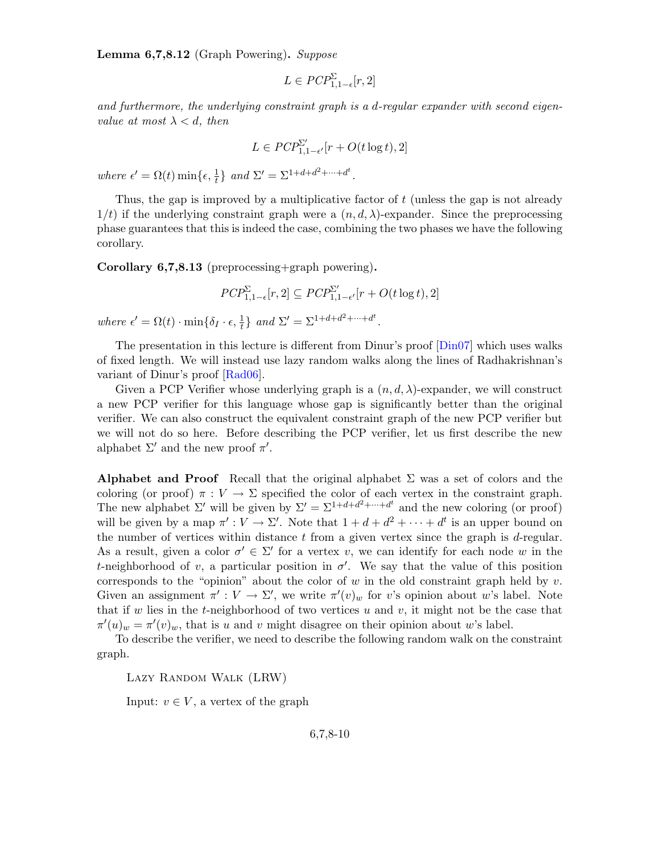**Lemma 6,7,8.12** (Graph Powering). Suppose

$$
L \in \mathit{PCP}_{1,1-\epsilon}^{\Sigma}[r,2]
$$

and furthermore, the underlying constraint graph is a d-regular expander with second eigenvalue at most  $\lambda < d$ , then

$$
L \in \mathit{PCP}^{\Sigma'}_{1,1-\epsilon'}[r+O(t\log t),2]
$$

where  $\epsilon' = \Omega(t) \min\{\epsilon, \frac{1}{t}\}$  and  $\Sigma' = \Sigma^{1+d+d^2+\cdots+d^t}$ .

Thus, the gap is improved by a multiplicative factor of t (unless the gap is not already  $1/t$ ) if the underlying constraint graph were a  $(n, d, \lambda)$ -expander. Since the preprocessing phase guarantees that this is indeed the case, combining the two phases we have the following corollary.

<span id="page-9-0"></span>Corollary 6,7,8.13 (preprocessing+graph powering).

$$
\mathit{PCP}^\Sigma_{1,1-\epsilon}[r,2] \subseteq \mathit{PCP}^{\Sigma'}_{1,1-\epsilon'}[r+O(t\log t),2]
$$

where  $\epsilon' = \Omega(t) \cdot \min\{\delta_I \cdot \epsilon, \frac{1}{t}\}\$ and  $\Sigma' = \Sigma^{1+d+d^2+\cdots+d^t}$ .

The presentation in this lecture is different from Dinur's proof [\[Din07\]](#page-17-0) which uses walks of fixed length. We will instead use lazy random walks along the lines of Radhakrishnan's variant of Dinur's proof [\[Rad06\]](#page-17-1).

Given a PCP Verifier whose underlying graph is a  $(n, d, \lambda)$ -expander, we will construct a new PCP verifier for this language whose gap is significantly better than the original verifier. We can also construct the equivalent constraint graph of the new PCP verifier but we will not do so here. Before describing the PCP verifier, let us first describe the new alphabet  $\Sigma'$  and the new proof  $\pi'$ .

Alphabet and Proof Recall that the original alphabet  $\Sigma$  was a set of colors and the coloring (or proof)  $\pi : V \to \Sigma$  specified the color of each vertex in the constraint graph. The new alphabet  $\Sigma'$  will be given by  $\Sigma' = \Sigma^{1+d+d^2+\cdots+d^t}$  and the new coloring (or proof) will be given by a map  $\pi': V \to \Sigma'$ . Note that  $1 + d + d^2 + \cdots + d^t$  is an upper bound on the number of vertices within distance  $t$  from a given vertex since the graph is  $d$ -regular. As a result, given a color  $\sigma' \in \Sigma'$  for a vertex v, we can identify for each node w in the t-neighborhood of v, a particular position in  $\sigma'$ . We say that the value of this position corresponds to the "opinion" about the color of w in the old constraint graph held by  $v$ . Given an assignment  $\pi': V \to \Sigma'$ , we write  $\pi'(v)_w$  for v's opinion about w's label. Note that if w lies in the t-neighborhood of two vertices u and v, it might not be the case that  $\pi'(u)_w = \pi'(v)_w$ , that is u and v might disagree on their opinion about w's label.

To describe the verifier, we need to describe the following random walk on the constraint graph.

Lazy Random Walk (LRW)

Input:  $v \in V$ , a vertex of the graph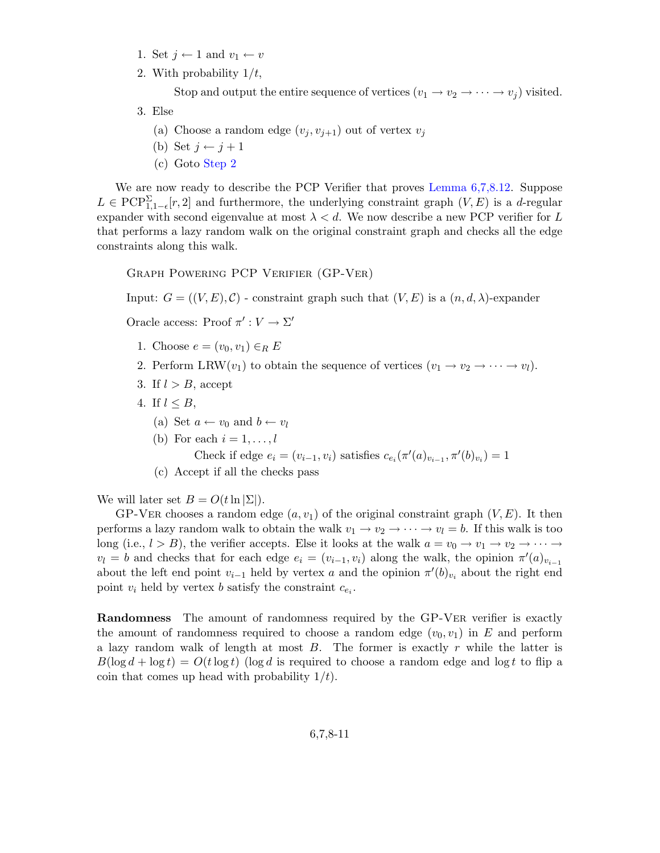- 1. Set  $j \leftarrow 1$  and  $v_1 \leftarrow v$
- <span id="page-10-0"></span>2. With probability  $1/t$ ,

Stop and output the entire sequence of vertices  $(v_1 \rightarrow v_2 \rightarrow \cdots \rightarrow v_j)$  visited.

- 3. Else
	- (a) Choose a random edge  $(v_i, v_{i+1})$  out of vertex  $v_i$
	- (b) Set  $j \leftarrow j + 1$
	- (c) Goto [Step 2](#page-10-0)

We are now ready to describe the PCP Verifier that proves Lemma  $6,7,8.12$ . Suppose  $L \in \text{PCP}_{1,1-\epsilon}^{\Sigma}[r,2]$  and furthermore, the underlying constraint graph  $(V,E)$  is a d-regular expander with second eigenvalue at most  $\lambda < d$ . We now describe a new PCP verifier for L that performs a lazy random walk on the original constraint graph and checks all the edge constraints along this walk.

Graph Powering PCP Verifier (GP-Ver)

Input:  $G = ((V, E), C)$  - constraint graph such that  $(V, E)$  is a  $(n, d, \lambda)$ -expander

Oracle access: Proof  $\pi': V \to \Sigma'$ 

- 1. Choose  $e = (v_0, v_1) \in_R E$
- 2. Perform LRW( $v_1$ ) to obtain the sequence of vertices  $(v_1 \rightarrow v_2 \rightarrow \cdots \rightarrow v_l)$ .
- 3. If  $l > B$ , accept
- 4. If  $l \leq B$ ,
	- (a) Set  $a \leftarrow v_0$  and  $b \leftarrow v_l$
	- (b) For each  $i = 1, \ldots, l$

Check if edge  $e_i = (v_{i-1}, v_i)$  satisfies  $c_{e_i}(\pi'(a)_{v_{i-1}}, \pi'(b)_{v_i}) = 1$ 

(c) Accept if all the checks pass

We will later set  $B = O(t \ln |\Sigma|)$ .

GP-VER chooses a random edge  $(a, v_1)$  of the original constraint graph  $(V, E)$ . It then performs a lazy random walk to obtain the walk  $v_1 \rightarrow v_2 \rightarrow \cdots \rightarrow v_l = b$ . If this walk is too long (i.e.,  $l > B$ ), the verifier accepts. Else it looks at the walk  $a = v_0 \to v_1 \to v_2 \to \cdots \to$  $v_l = b$  and checks that for each edge  $e_i = (v_{i-1}, v_i)$  along the walk, the opinion  $\pi'(a)_{v_{i-1}}$ about the left end point  $v_{i-1}$  held by vertex a and the opinion  $\pi'(b)_{v_i}$  about the right end point  $v_i$  held by vertex b satisfy the constraint  $c_{e_i}$ .

Randomness The amount of randomness required by the GP-Ver verifier is exactly the amount of randomness required to choose a random edge  $(v_0, v_1)$  in E and perform a lazy random walk of length at most  $B$ . The former is exactly r while the latter is  $B(\log d + \log t) = O(t \log t)$  (log d is required to choose a random edge and log t to flip a coin that comes up head with probability  $1/t$ .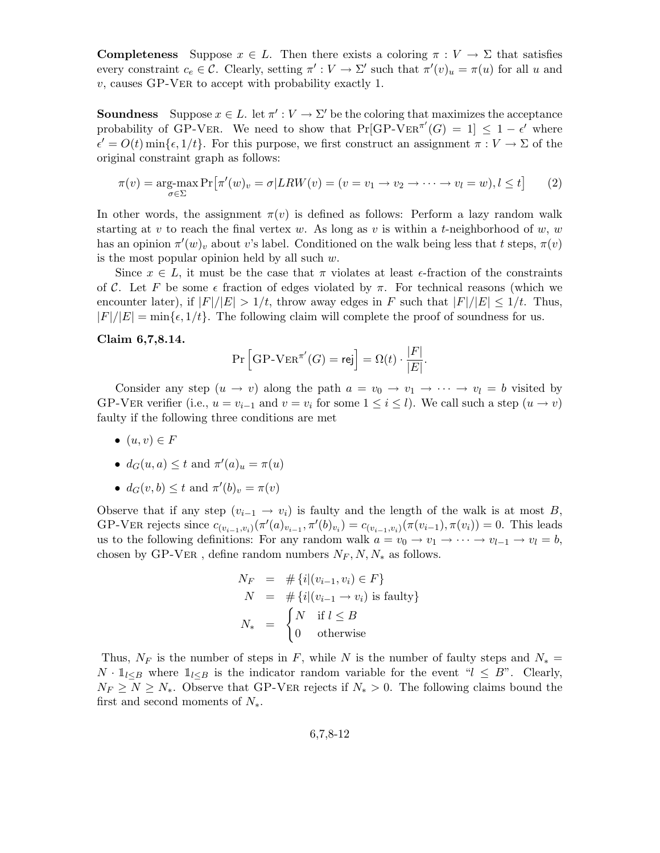**Completeness** Suppose  $x \in L$ . Then there exists a coloring  $\pi : V \to \Sigma$  that satisfies every constraint  $c_e \in \mathcal{C}$ . Clearly, setting  $\pi' : V \to \Sigma'$  such that  $\pi'(v)_u = \pi(u)$  for all u and  $v$ , causes GP-VER to accept with probability exactly 1.

**Soundness** Suppose  $x \in L$ . let  $\pi' : V \to \Sigma'$  be the coloring that maximizes the acceptance probability of GP-VER. We need to show that  $Pr[\text{GP-Ver}^{\pi'}(G) = 1] \leq 1 - \epsilon'$  where  $\epsilon' = O(t) \min{\{\epsilon, 1/t\}}$ . For this purpose, we first construct an assignment  $\pi : V \to \Sigma$  of the original constraint graph as follows:

$$
\pi(v) = \underset{\sigma \in \Sigma}{\arg\text{-max}} \Pr\left[\pi'(w)_v = \sigma | LRW(v) = (v = v_1 \to v_2 \to \cdots \to v_l = w), l \le t\right] \tag{2}
$$

In other words, the assignment  $\pi(v)$  is defined as follows: Perform a lazy random walk starting at v to reach the final vertex w. As long as v is within a t-neighborhood of w, w has an opinion  $\pi'(w)_v$  about v's label. Conditioned on the walk being less that t steps,  $\pi(v)$ is the most popular opinion held by all such  $w$ .

Since  $x \in L$ , it must be the case that  $\pi$  violates at least  $\epsilon$ -fraction of the constraints of C. Let F be some  $\epsilon$  fraction of edges violated by  $\pi$ . For technical reasons (which we encounter later), if  $|F|/|E| > 1/t$ , throw away edges in F such that  $|F|/|E| \leq 1/t$ . Thus,  $|F|/|E| = \min\{\epsilon, 1/t\}.$  The following claim will complete the proof of soundness for us.

#### <span id="page-11-0"></span>Claim 6,7,8.14.

$$
\Pr\left[\text{GP-VER}^{\pi'}(G) = \text{rej}\right] = \Omega(t) \cdot \frac{|F|}{|E|}.
$$

Consider any step  $(u \to v)$  along the path  $a = v_0 \to v_1 \to \cdots \to v_l = b$  visited by GP-VER verifier (i.e.,  $u = v_{i-1}$  and  $v = v_i$  for some  $1 \le i \le l$ ). We call such a step  $(u \to v)$ faulty if the following three conditions are met

- $\bullet$   $(u, v) \in F$
- $d_G(u, a) \leq t$  and  $\pi'(a)_u = \pi(u)$
- $d_G(v, b) \le t$  and  $\pi'(b)_v = \pi(v)$

Observe that if any step  $(v_{i-1} \rightarrow v_i)$  is faulty and the length of the walk is at most B, GP-VER rejects since  $c_{(v_{i-1},v_i)}(\pi'(a)_{v_{i-1}},\pi'(b)_{v_i}) = c_{(v_{i-1},v_i)}(\pi(v_{i-1}),\pi(v_i)) = 0$ . This leads us to the following definitions: For any random walk  $a = v_0 \to v_1 \to \cdots \to v_{l-1} \to v_l = b$ , chosen by GP-VER, define random numbers  $N_F, N, N_*$  as follows.

$$
N_F = # \{i | (v_{i-1}, v_i) \in F\}
$$
  
\n
$$
N = # \{i | (v_{i-1} \to v_i) \text{ is faulty}\}
$$
  
\n
$$
N_* = \begin{cases} N & \text{if } l \leq B \\ 0 & \text{otherwise} \end{cases}
$$

<span id="page-11-1"></span>Thus,  $N_F$  is the number of steps in F, while N is the number of faulty steps and  $N_* =$  $N \cdot \mathbb{1}_{l \leq B}$  where  $\mathbb{1}_{l \leq B}$  is the indicator random variable for the event " $l \leq B$ ". Clearly,  $N_F \geq N \geq N_*$ . Observe that GP-VER rejects if  $N_* > 0$ . The following claims bound the first and second moments of  $N_*$ .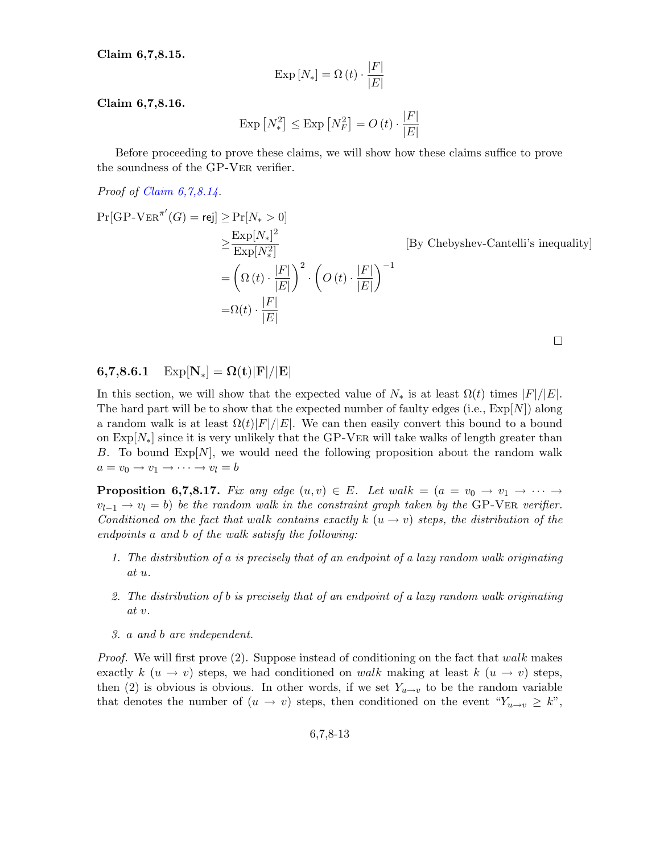Claim 6,7,8.15.

$$
\operatorname{Exp}\left[N_{*}\right] = \Omega\left(t\right) \cdot \frac{\left|F\right|}{\left|E\right|}
$$

Claim 6,7,8.16.

$$
\operatorname{Exp}\left[N_{*}^{2}\right] \leq \operatorname{Exp}\left[N_{F}^{2}\right] = O\left(t\right) \cdot \frac{\left|F\right|}{\left|E\right|}
$$

Before proceeding to prove these claims, we will show how these claims suffice to prove the soundness of the GP-Ver verifier.

Proof of [Claim 6,7,8.14.](#page-11-0)

$$
\Pr[\text{GP-VER}^{\pi'}(G) = \text{rej}] \ge \Pr[N_* > 0]
$$
  
\n
$$
\ge \frac{\text{Exp}[N_*]^2}{\text{Exp}[N_*^2]}
$$
 [By Chebyshev-Cantelli's]  
\n
$$
= \left(\Omega(t) \cdot \frac{|F|}{|E|}\right)^2 \cdot \left(O(t) \cdot \frac{|F|}{|E|}\right)^{-1}
$$
  
\n
$$
= \Omega(t) \cdot \frac{|F|}{|E|}
$$

 $\Box$ 

inequality

## 6,7,8.6.1  $Exp[N_*] = \Omega(t)|F|/|E|$

In this section, we will show that the expected value of  $N_*$  is at least  $\Omega(t)$  times  $|F|/|E|$ . The hard part will be to show that the expected number of faulty edges (i.e.,  $\exp[N]$ ) along a random walk is at least  $\Omega(t)|F|/|E|$ . We can then easily convert this bound to a bound on  $Exp[N_*]$  since it is very unlikely that the GP-VER will take walks of length greater than B. To bound  $\text{Exp}[N]$ , we would need the following proposition about the random walk  $a = v_0 \rightarrow v_1 \rightarrow \cdots \rightarrow v_l = b$ 

**Proposition 6,7,8.17.** Fix any edge  $(u, v) \in E$ . Let walk =  $(a = v_0 \rightarrow v_1 \rightarrow \cdots \rightarrow$  $v_{l-1} \rightarrow v_l = b$ ) be the random walk in the constraint graph taken by the GP-VER verifier. Conditioned on the fact that walk contains exactly k  $(u \rightarrow v)$  steps, the distribution of the endpoints a and b of the walk satisfy the following:

- 1. The distribution of a is precisely that of an endpoint of a lazy random walk originating at u.
- 2. The distribution of b is precisely that of an endpoint of a lazy random walk originating at v.
- 3. a and b are independent.

*Proof.* We will first prove  $(2)$ . Suppose instead of conditioning on the fact that walk makes exactly  $k(u \to v)$  steps, we had conditioned on walk making at least  $k(u \to v)$  steps, then (2) is obvious is obvious. In other words, if we set  $Y_{u\rightarrow v}$  to be the random variable that denotes the number of  $(u \to v)$  steps, then conditioned on the event " $Y_{u \to v} \geq k$ ",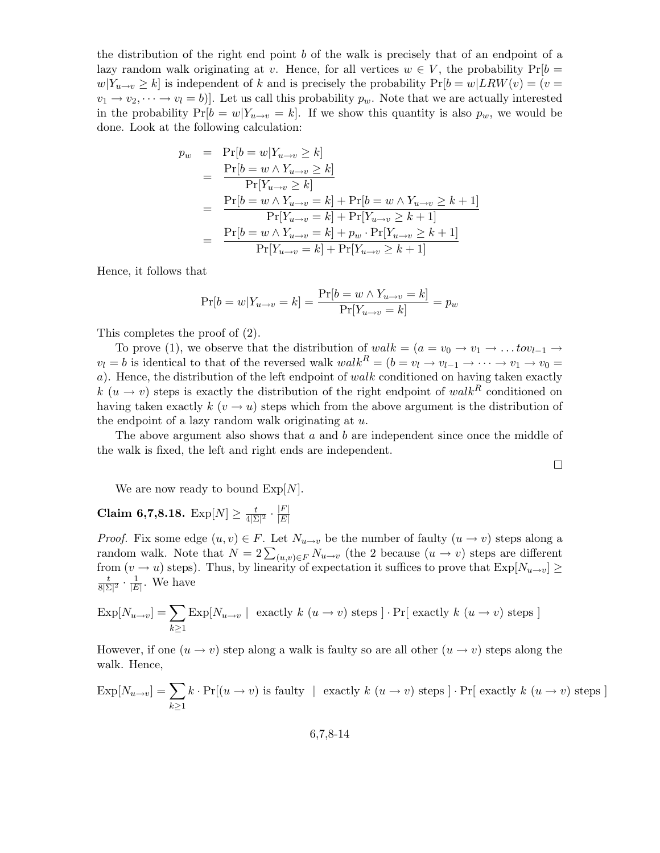the distribution of the right end point b of the walk is precisely that of an endpoint of a lazy random walk originating at v. Hence, for all vertices  $w \in V$ , the probability  $Pr[b =$  $w|Y_{u\to v} \geq k$  is independent of k and is precisely the probability  $Pr[b=w|LRW(v) = (v=$  $v_1 \rightarrow v_2, \dots \rightarrow v_l = b$ ]. Let us call this probability  $p_w$ . Note that we are actually interested in the probability  $Pr[b = w|Y_{u \to v} = k]$ . If we show this quantity is also  $p_w$ , we would be done. Look at the following calculation:

$$
p_w = \Pr[b = w | Y_{u \to v} \ge k]
$$
  
= 
$$
\frac{\Pr[b = w \land Y_{u \to v} \ge k]}{\Pr[Y_{u \to v} \ge k]}
$$
  
= 
$$
\frac{\Pr[b = w \land Y_{u \to v} = k] + \Pr[b = w \land Y_{u \to v} \ge k + 1]}{\Pr[Y_{u \to v} = k] + \Pr[Y_{u \to v} \ge k + 1]}
$$
  
= 
$$
\frac{\Pr[b = w \land Y_{u \to v} = k] + p_w \cdot \Pr[Y_{u \to v} \ge k + 1]}{\Pr[Y_{u \to v} = k] + \Pr[Y_{u \to v} \ge k + 1]}
$$

Hence, it follows that

$$
\Pr[b = w | Y_{u \to v} = k] = \frac{\Pr[b = w \land Y_{u \to v} = k]}{\Pr[Y_{u \to v} = k]} = p_w
$$

This completes the proof of (2).

To prove (1), we observe that the distribution of  $walk = (a = v_0 \rightarrow v_1 \rightarrow \dots to v_{l-1} \rightarrow$  $v_l = b$  is identical to that of the reversed walk  $walk^R = (b = v_l \rightarrow v_{l-1} \rightarrow \cdots \rightarrow v_1 \rightarrow v_0 =$  $a$ ). Hence, the distribution of the left endpoint of walk conditioned on having taken exactly k (u  $\rightarrow$  v) steps is exactly the distribution of the right endpoint of walk<sup>R</sup> conditioned on having taken exactly  $k$  ( $v \rightarrow u$ ) steps which from the above argument is the distribution of the endpoint of a lazy random walk originating at  $u$ .

The above argument also shows that  $a$  and  $b$  are independent since once the middle of the walk is fixed, the left and right ends are independent.

 $\Box$ 

We are now ready to bound  $Exp[N]$ .

#### Claim 6,7,8.18.  $\text{Exp}[N] \ge \frac{t}{4!5}$  $\frac{t}{4|\Sigma|^2}\cdot\frac{|F|}{|E|}$  $|E|$

*Proof.* Fix some edge  $(u, v) \in F$ . Let  $N_{u \to v}$  be the number of faulty  $(u \to v)$  steps along a random walk. Note that  $N = 2\sum_{(u,v)\in F} N_{u\to v}$  (the 2 because  $(u \to v)$  steps are different from  $(v \to u)$  steps). Thus, by linearity of expectation it suffices to prove that  $\text{Exp}[N_{u \to v}] \ge$ t  $\frac{t}{8|\Sigma|^2} \cdot \frac{1}{|E}$  $\frac{1}{|E|}$ . We have

$$
\exp[N_{u\to v}] = \sum_{k\geq 1} \exp[N_{u\to v}] \text{ exactly } k(u\to v) \text{ steps } ] \cdot \Pr[\text{ exactly } k(u\to v) \text{ steps } ]
$$

However, if one  $(u \to v)$  step along a walk is faulty so are all other  $(u \to v)$  steps along the walk. Hence,

$$
\text{Exp}[N_{u\to v}] = \sum_{k\geq 1} k \cdot \Pr[(u \to v) \text{ is faulty } | \text{ exactly } k (u \to v) \text{ steps } ] \cdot \Pr[\text{ exactly } k (u \to v) \text{ steps } ]
$$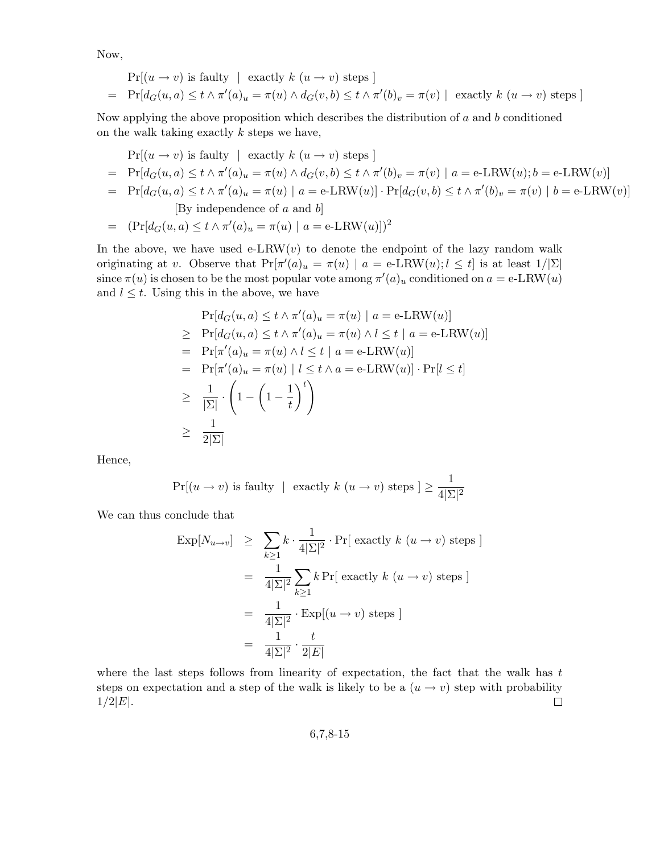Now,

$$
\Pr[(u \to v) \text{ is faulty } | \text{ exactly } k (u \to v) \text{ steps } ]
$$
\n
$$
= \Pr[d_G(u, a) \le t \wedge \pi'(a)_u = \pi(u) \wedge d_G(v, b) \le t \wedge \pi'(b)_v = \pi(v) | \text{ exactly } k (u \to v) \text{ steps } ]
$$

Now applying the above proposition which describes the distribution of  $a$  and  $b$  conditioned on the walk taking exactly  $k$  steps we have,

$$
\Pr[(u \to v) \text{ is faulty } | \text{ exactly } k (u \to v) \text{ steps}]
$$
\n
$$
= \Pr[d_G(u, a) \le t \land \pi'(a)_u = \pi(u) \land d_G(v, b) \le t \land \pi'(b)_v = \pi(v) | a = e\text{-LRW}(u); b = e\text{-LRW}(v)]
$$
\n
$$
= \Pr[d_G(u, a) \le t \land \pi'(a)_u = \pi(u) | a = e\text{-LRW}(u)] \cdot \Pr[d_G(v, b) \le t \land \pi'(b)_v = \pi(v) | b = e\text{-LRW}(v)]
$$
\n
$$
[By independence of a and b]
$$
\n
$$
= (\Pr[d_G(u, a) \le t \land \pi'(a)_u = \pi(u) | a = e\text{-LRW}(u)])^2
$$

In the above, we have used e-LRW(v) to denote the endpoint of the lazy random walk originating at v. Observe that  $Pr[\pi'(a)_u = \pi(u) | a = e-LRW(u); l \le t]$  is at least  $1/|\Sigma|$ since  $\pi(u)$  is chosen to be the most popular vote among  $\pi'(a)_u$  conditioned on  $a = e\text{-LRW}(u)$ and  $l \leq t$ . Using this in the above, we have

$$
\Pr[d_G(u, a) \le t \wedge \pi'(a)_u = \pi(u) \mid a = e \text{-LRW}(u)]
$$
\n
$$
\ge \Pr[d_G(u, a) \le t \wedge \pi'(a)_u = \pi(u) \wedge l \le t \mid a = e \text{-LRW}(u)]
$$
\n
$$
= \Pr[\pi'(a)_u = \pi(u) \wedge l \le t \mid a = e \text{-LRW}(u)]
$$
\n
$$
= \Pr[\pi'(a)_u = \pi(u) \mid l \le t \wedge a = e \text{-LRW}(u)] \cdot \Pr[l \le t]
$$
\n
$$
\ge \frac{1}{|\Sigma|} \cdot \left(1 - \left(1 - \frac{1}{t}\right)^t\right)
$$
\n
$$
\ge \frac{1}{2|\Sigma|}
$$

Hence,

$$
\Pr[(u \to v) \text{ is faulty } | \text{ exactly } k (u \to v) \text{ steps } ] \ge \frac{1}{4|\Sigma|^2}
$$

We can thus conclude that

$$
\begin{aligned}\n\text{Exp}[N_{u \to v}] &\geq \sum_{k \geq 1} k \cdot \frac{1}{4|\Sigma|^2} \cdot \Pr[\text{ exactly } k (u \to v) \text{ steps} ] \\
&= \frac{1}{4|\Sigma|^2} \sum_{k \geq 1} k \Pr[\text{ exactly } k (u \to v) \text{ steps} ] \\
&= \frac{1}{4|\Sigma|^2} \cdot \text{Exp}[(u \to v) \text{ steps} ] \\
&= \frac{1}{4|\Sigma|^2} \cdot \frac{t}{2|E|}\n\end{aligned}
$$

where the last steps follows from linearity of expectation, the fact that the walk has  $t$ steps on expectation and a step of the walk is likely to be a  $(u \rightarrow v)$  step with probability  $\Box$  $1/2|E|.$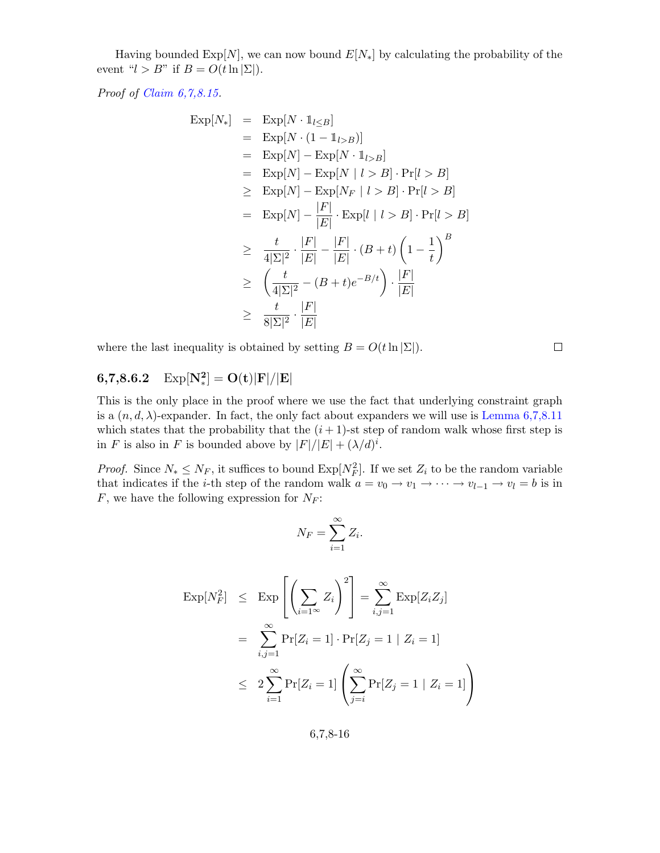Having bounded  $\text{Exp}[N]$ , we can now bound  $E[N_*]$  by calculating the probability of the event " $l > B$ " if  $B = O(t \ln |\Sigma|)$ .

Proof of [Claim 6,7,8.15.](#page-11-1)

$$
\begin{array}{rcl}\n\text{Exp}[N_*] & = & \text{Exp}[N \cdot 1_{l \leq B}] \\
& = & \text{Exp}[N \cdot (1 - 1_{l > B})] \\
& = & \text{Exp}[N] - \text{Exp}[N \cdot 1_{l > B}] \\
& = & \text{Exp}[N] - \text{Exp}[N \mid l > B] \cdot \text{Pr}[l > B] \\
& \geq & \text{Exp}[N] - \text{Exp}[N_F \mid l > B] \cdot \text{Pr}[l > B] \\
& = & \text{Exp}[N] - \frac{|F|}{|E|} \cdot \text{Exp}[l \mid l > B] \cdot \text{Pr}[l > B] \\
& & \geq & \frac{t}{4|\Sigma|^2} \cdot \frac{|F|}{|E|} - \frac{|F|}{|E|} \cdot (B + t) \left(1 - \frac{1}{t}\right)^B \\
& & \geq & \left(\frac{t}{4|\Sigma|^2} - (B + t)e^{-B/t}\right) \cdot \frac{|F|}{|E|} \\
& & \geq & \frac{t}{8|\Sigma|^2} \cdot \frac{|F|}{|E|}\n\end{array}
$$

where the last inequality is obtained by setting  $B = O(t \ln |\Sigma|)$ .

 $\Box$ 

#### $6,7,8.6.2$  $\mathbf{P}_{\ast}^{2}]=\mathbf{O}(\mathbf{t})\vert\mathbf{F}\vert/\vert\mathbf{E}\vert$

This is the only place in the proof where we use the fact that underlying constraint graph is a  $(n, d, \lambda)$ -expander. In fact, the only fact about expanders we will use is [Lemma 6,7,8.11](#page-5-1) which states that the probability that the  $(i+1)$ -st step of random walk whose first step is in F is also in F is bounded above by  $|F|/|E| + (\lambda/d)^i$ .

*Proof.* Since  $N_* \leq N_F$ , it suffices to bound  $Exp[N_F^2]$ . If we set  $Z_i$  to be the random variable that indicates if the *i*-th step of the random walk  $a = v_0 \rightarrow v_1 \rightarrow \cdots \rightarrow v_{l-1} \rightarrow v_l = b$  is in  $F$ , we have the following expression for  $N_F$ :

$$
N_F = \sum_{i=1}^{\infty} Z_i.
$$

$$
\begin{aligned} \operatorname{Exp}[N_F^2] &\leq \operatorname{Exp}\left[\left(\sum_{i=1}^{\infty} Z_i\right)^2\right] = \sum_{i,j=1}^{\infty} \operatorname{Exp}[Z_i Z_j] \\ &= \sum_{i,j=1}^{\infty} \Pr[Z_i = 1] \cdot \Pr[Z_j = 1 \mid Z_i = 1] \\ &\leq 2 \sum_{i=1}^{\infty} \Pr[Z_i = 1] \left(\sum_{j=i}^{\infty} \Pr[Z_j = 1 \mid Z_i = 1]\right) \end{aligned}
$$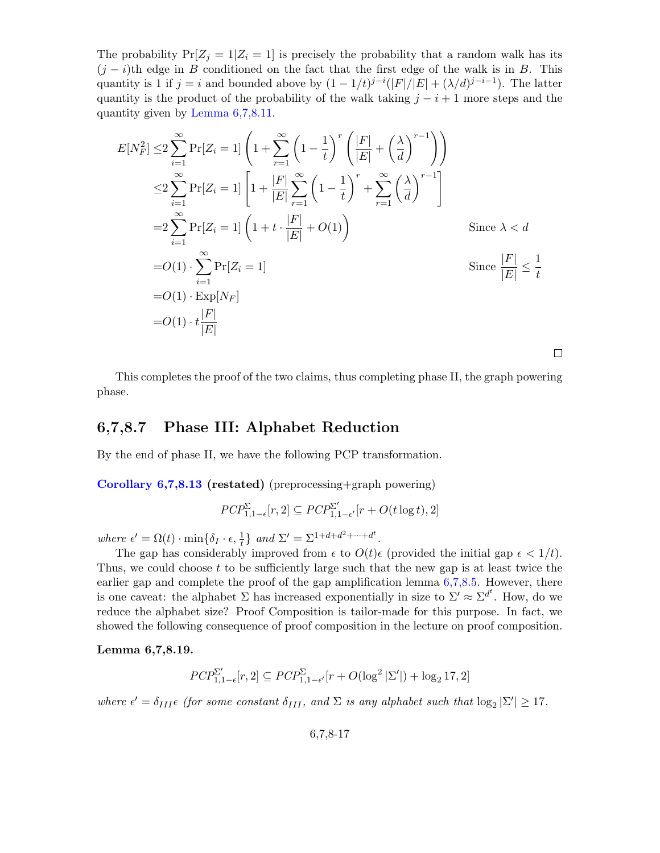The probability  $Pr[Z_i = 1 | Z_i = 1]$  is precisely the probability that a random walk has its  $(j - i)$ th edge in B conditioned on the fact that the first edge of the walk is in B. This quantity is 1 if  $j = i$  and bounded above by  $(1 - 1/t)^{j-i}(|F|/|E| + (\lambda/d)^{j-i-1})$ . The latter quantity is the product of the probability of the walk taking  $j - i + 1$  more steps and the quantity given by [Lemma 6,7,8.11.](#page-5-1)

$$
E[N_F^2] \leq 2 \sum_{i=1}^{\infty} \Pr[Z_i = 1] \left( 1 + \sum_{r=1}^{\infty} \left( 1 - \frac{1}{t} \right)^r \left( \frac{|F|}{|E|} + \left( \frac{\lambda}{d} \right)^{r-1} \right) \right)
$$
  
\n
$$
\leq 2 \sum_{i=1}^{\infty} \Pr[Z_i = 1] \left[ 1 + \frac{|F|}{|E|} \sum_{r=1}^{\infty} \left( 1 - \frac{1}{t} \right)^r + \sum_{r=1}^{\infty} \left( \frac{\lambda}{d} \right)^{r-1} \right]
$$
  
\n
$$
= 2 \sum_{i=1}^{\infty} \Pr[Z_i = 1] \left( 1 + t \cdot \frac{|F|}{|E|} + O(1) \right)
$$
  
\n
$$
= O(1) \cdot \sum_{i=1}^{\infty} \Pr[Z_i = 1]
$$
  
\n
$$
= O(1) \cdot \exp[N_F]
$$
  
\n
$$
= O(1) \cdot t \frac{|F|}{|E|}
$$
  
\n
$$
= O(1) \cdot t \frac{|F|}{|E|}
$$

This completes the proof of the two claims, thus completing phase II, the graph powering phase.

 $\Box$ 

### 6,7,8.7 Phase III: Alphabet Reduction

By the end of phase II, we have the following PCP transformation.

[Corollary 6,7,8.13](#page-9-0) (restated) (preprocessing+graph powering)

$$
\mathit{PCP}^\Sigma_{1,1-\epsilon}[r,2] \subseteq \mathit{PCP}^{\Sigma'}_{1,1-\epsilon'}[r+O(t\log t),2]
$$

where  $\epsilon' = \Omega(t) \cdot \min\{\delta_I \cdot \epsilon, \frac{1}{t}\}\$ and  $\Sigma' = \Sigma^{1+d+d^2+\cdots+d^t}$ .

The gap has considerably improved from  $\epsilon$  to  $O(t)\epsilon$  (provided the initial gap  $\epsilon < 1/t$ ). Thus, we could choose t to be sufficiently large such that the new gap is at least twice the earlier gap and complete the proof of the gap amplification lemma  $6,7,8.5$ . However, there is one caveat: the alphabet  $\Sigma$  has increased exponentially in size to  $\Sigma' \approx \Sigma^{d^t}$ . How, do we reduce the alphabet size? Proof Composition is tailor-made for this purpose. In fact, we showed the following consequence of proof composition in the lecture on proof composition.

#### Lemma 6,7,8.19.

$$
\mathit{PCP}^{\Sigma'}_{1,1-\epsilon}[r,2] \subseteq \mathit{PCP}^{\Sigma}_{1,1-\epsilon'}[r + O(\log^2|\Sigma'|) + \log_2 17,2]
$$

where  $\epsilon' = \delta_{III} \epsilon$  (for some constant  $\delta_{III}$ , and  $\Sigma$  is any alphabet such that  $\log_2 |\Sigma'| \geq 17$ .